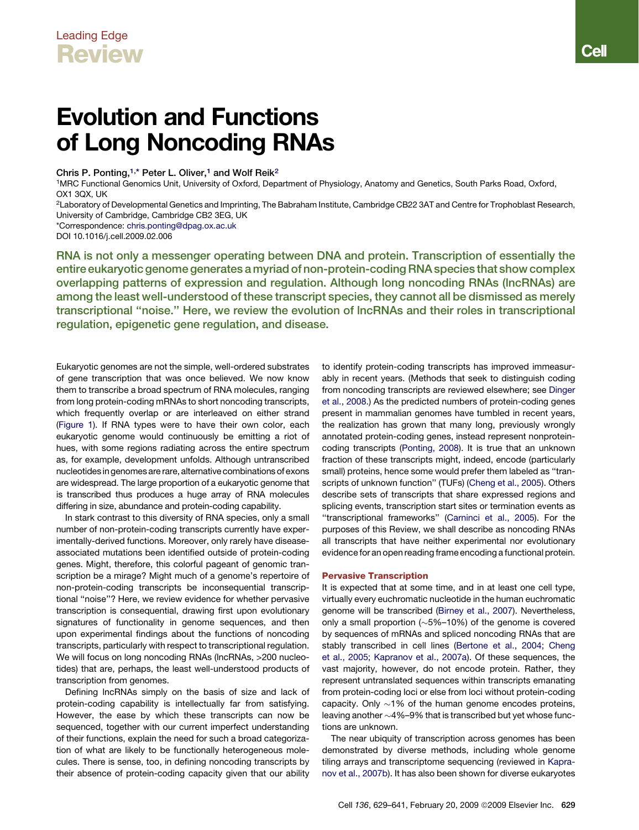# Evolution and Functions of Long Noncoding RNAs

Chris P. Ponting,<sup>1,\*</sup> Peter L. Oliver,<sup>1</sup> and Wolf Reik<sup>2</sup>

1MRC Functional Genomics Unit, University of Oxford, Department of Physiology, Anatomy and Genetics, South Parks Road, Oxford, OX1 3QX, UK

<sup>2</sup>Laboratory of Developmental Genetics and Imprinting, The Babraham Institute, Cambridge CB22 3AT and Centre for Trophoblast Research, University of Cambridge, Cambridge CB2 3EG, UK

\*Correspondence: [chris.ponting@dpag.ox.ac.uk](mailto:chris.ponting@dpag.ox.ac.uk)

DOI 10.1016/j.cell.2009.02.006

RNA is not only a messenger operating between DNA and protein. Transcription of essentially the entire eukaryotic genome generates a myriad of non-protein-coding RNA species that show complex overlapping patterns of expression and regulation. Although long noncoding RNAs (lncRNAs) are among the least well-understood of these transcript species, they cannot all be dismissed as merely transcriptional ''noise.'' Here, we review the evolution of lncRNAs and their roles in transcriptional regulation, epigenetic gene regulation, and disease.

Eukaryotic genomes are not the simple, well-ordered substrates of gene transcription that was once believed. We now know them to transcribe a broad spectrum of RNA molecules, ranging from long protein-coding mRNAs to short noncoding transcripts, which frequently overlap or are interleaved on either strand [\(Figure 1\)](#page-1-0). If RNA types were to have their own color, each eukaryotic genome would continuously be emitting a riot of hues, with some regions radiating across the entire spectrum as, for example, development unfolds. Although untranscribed nucleotides in genomes are rare, alternative combinations of exons are widespread. The large proportion of a eukaryotic genome that is transcribed thus produces a huge array of RNA molecules differing in size, abundance and protein-coding capability.

In stark contrast to this diversity of RNA species, only a small number of non-protein-coding transcripts currently have experimentally-derived functions. Moreover, only rarely have diseaseassociated mutations been identified outside of protein-coding genes. Might, therefore, this colorful pageant of genomic transcription be a mirage? Might much of a genome's repertoire of non-protein-coding transcripts be inconsequential transcriptional ''noise''? Here, we review evidence for whether pervasive transcription is consequential, drawing first upon evolutionary signatures of functionality in genome sequences, and then upon experimental findings about the functions of noncoding transcripts, particularly with respect to transcriptional regulation. We will focus on long noncoding RNAs (lncRNAs, >200 nucleotides) that are, perhaps, the least well-understood products of transcription from genomes.

Defining lncRNAs simply on the basis of size and lack of protein-coding capability is intellectually far from satisfying. However, the ease by which these transcripts can now be sequenced, together with our current imperfect understanding of their functions, explain the need for such a broad categorization of what are likely to be functionally heterogeneous molecules. There is sense, too, in defining noncoding transcripts by their absence of protein-coding capacity given that our ability

to identify protein-coding transcripts has improved immeasurably in recent years. (Methods that seek to distinguish coding from noncoding transcripts are reviewed elsewhere; see [Dinger](#page-10-0) [et al., 2008.](#page-10-0)) As the predicted numbers of protein-coding genes present in mammalian genomes have tumbled in recent years, the realization has grown that many long, previously wrongly annotated protein-coding genes, instead represent nonproteincoding transcripts ([Ponting, 2008](#page-12-0)). It is true that an unknown fraction of these transcripts might, indeed, encode (particularly small) proteins, hence some would prefer them labeled as ''transcripts of unknown function'' (TUFs) ([Cheng et al., 2005](#page-10-0)). Others describe sets of transcripts that share expressed regions and splicing events, transcription start sites or termination events as ''transcriptional frameworks'' [\(Carninci et al., 2005\)](#page-10-0). For the purposes of this Review, we shall describe as noncoding RNAs all transcripts that have neither experimental nor evolutionary evidence for an open reading frame encoding a functional protein.

# Pervasive Transcription

It is expected that at some time, and in at least one cell type, virtually every euchromatic nucleotide in the human euchromatic genome will be transcribed ([Birney et al., 2007](#page-10-0)). Nevertheless, only a small proportion ( $\sim$ 5%–10%) of the genome is covered by sequences of mRNAs and spliced noncoding RNAs that are stably transcribed in cell lines ([Bertone et al., 2004; Cheng](#page-10-0) [et al., 2005; Kapranov et al., 2007a\)](#page-10-0). Of these sequences, the vast majority, however, do not encode protein. Rather, they represent untranslated sequences within transcripts emanating from protein-coding loci or else from loci without protein-coding capacity. Only  $\sim$ 1% of the human genome encodes proteins, leaving another  ${\sim}4$ %–9% that is transcribed but yet whose functions are unknown.

The near ubiquity of transcription across genomes has been demonstrated by diverse methods, including whole genome tiling arrays and transcriptome sequencing (reviewed in [Kapra](#page-11-0)[nov et al., 2007b](#page-11-0)). It has also been shown for diverse eukaryotes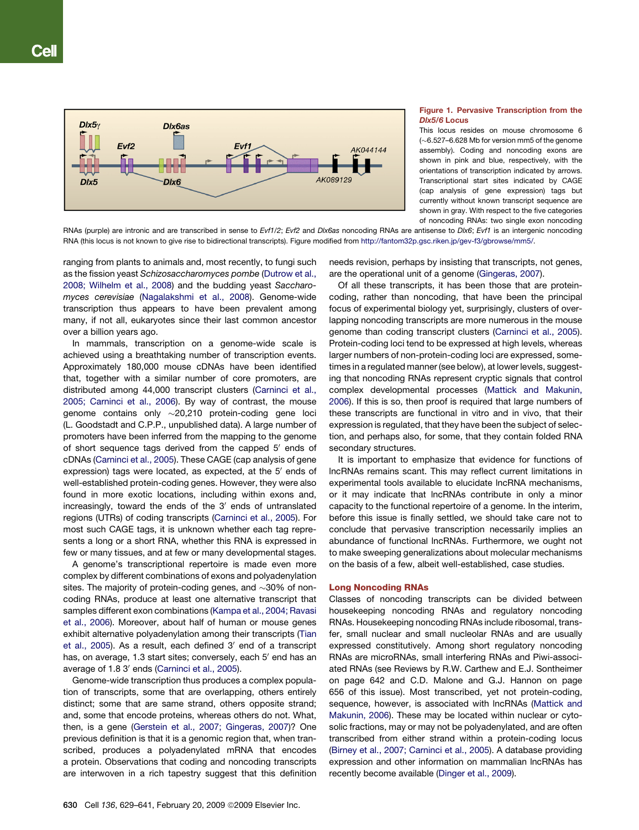<span id="page-1-0"></span>

## Figure 1. Pervasive Transcription from the Dlx5/6 Locus

This locus resides on mouse chromosome 6 ( $\sim$ 6.527–6.628 Mb for version mm5 of the genome assembly). Coding and noncoding exons are shown in pink and blue, respectively, with the orientations of transcription indicated by arrows. Transcriptional start sites indicated by CAGE (cap analysis of gene expression) tags but currently without known transcript sequence are shown in gray. With respect to the five categories of noncoding RNAs: two single exon noncoding

RNAs (purple) are intronic and are transcribed in sense to *Evf1/2*; *Evf2* and *Dlx6as* noncoding RNAs are antisense to *Dlx6*; *Evf1* is an intergenic noncoding RNA (this locus is not known to give rise to bidirectional transcripts). Figure modified from [http://fantom32p.gsc.riken.jp/gev-f3/gbrowse/mm5/.](http://fantom32p.gsc.riken.jp/gev-f3/gbrowse/mm5/)

ranging from plants to animals and, most recently, to fungi such as the fission yeast *Schizosaccharomyces pombe* [\(Dutrow et al.,](#page-10-0) [2008; Wilhelm et al., 2008](#page-10-0)) and the budding yeast *Saccharomyces cerevisiae* [\(Nagalakshmi et al., 2008\)](#page-12-0). Genome-wide transcription thus appears to have been prevalent among many, if not all, eukaryotes since their last common ancestor over a billion years ago.

In mammals, transcription on a genome-wide scale is achieved using a breathtaking number of transcription events. Approximately 180,000 mouse cDNAs have been identified that, together with a similar number of core promoters, are distributed among 44,000 transcript clusters ([Carninci et al.,](#page-10-0) [2005; Carninci et al., 2006\)](#page-10-0). By way of contrast, the mouse genome contains only  $\sim$ 20,210 protein-coding gene loci (L. Goodstadt and C.P.P., unpublished data). A large number of promoters have been inferred from the mapping to the genome of short sequence tags derived from the capped  $5'$  ends of cDNAs [\(Carninci et al., 2005](#page-10-0)). These CAGE (cap analysis of gene expression) tags were located, as expected, at the  $5'$  ends of well-established protein-coding genes. However, they were also found in more exotic locations, including within exons and, increasingly, toward the ends of the 3' ends of untranslated regions (UTRs) of coding transcripts [\(Carninci et al., 2005\)](#page-10-0). For most such CAGE tags, it is unknown whether each tag represents a long or a short RNA, whether this RNA is expressed in few or many tissues, and at few or many developmental stages.

A genome's transcriptional repertoire is made even more complex by different combinations of exons and polyadenylation sites. The majority of protein-coding genes, and  $\sim$ 30% of noncoding RNAs, produce at least one alternative transcript that samples different exon combinations ([Kampa et al., 2004; Ravasi](#page-11-0) [et al., 2006\)](#page-11-0). Moreover, about half of human or mouse genes exhibit alternative polyadenylation among their transcripts ([Tian](#page-12-0) [et al., 2005](#page-12-0)). As a result, each defined  $3'$  end of a transcript has, on average, 1.3 start sites; conversely, each 5' end has an average of 1.8 3' ends [\(Carninci et al., 2005\)](#page-10-0).

Genome-wide transcription thus produces a complex population of transcripts, some that are overlapping, others entirely distinct; some that are same strand, others opposite strand; and, some that encode proteins, whereas others do not. What, then, is a gene [\(Gerstein et al., 2007; Gingeras, 2007](#page-11-0))? One previous definition is that it is a genomic region that, when transcribed, produces a polyadenylated mRNA that encodes a protein. Observations that coding and noncoding transcripts are interwoven in a rich tapestry suggest that this definition needs revision, perhaps by insisting that transcripts, not genes, are the operational unit of a genome [\(Gingeras, 2007\)](#page-11-0).

Of all these transcripts, it has been those that are proteincoding, rather than noncoding, that have been the principal focus of experimental biology yet, surprisingly, clusters of overlapping noncoding transcripts are more numerous in the mouse genome than coding transcript clusters ([Carninci et al., 2005](#page-10-0)). Protein-coding loci tend to be expressed at high levels, whereas larger numbers of non-protein-coding loci are expressed, sometimes in a regulated manner (see below), at lower levels, suggesting that noncoding RNAs represent cryptic signals that control complex developmental processes ([Mattick and Makunin,](#page-11-0) [2006\)](#page-11-0). If this is so, then proof is required that large numbers of these transcripts are functional in vitro and in vivo, that their expression is regulated, that they have been the subject of selection, and perhaps also, for some, that they contain folded RNA secondary structures.

It is important to emphasize that evidence for functions of lncRNAs remains scant. This may reflect current limitations in experimental tools available to elucidate lncRNA mechanisms, or it may indicate that lncRNAs contribute in only a minor capacity to the functional repertoire of a genome. In the interim, before this issue is finally settled, we should take care not to conclude that pervasive transcription necessarily implies an abundance of functional lncRNAs. Furthermore, we ought not to make sweeping generalizations about molecular mechanisms on the basis of a few, albeit well-established, case studies.

# Long Noncoding RNAs

Classes of noncoding transcripts can be divided between housekeeping noncoding RNAs and regulatory noncoding RNAs. Housekeeping noncoding RNAs include ribosomal, transfer, small nuclear and small nucleolar RNAs and are usually expressed constitutively. Among short regulatory noncoding RNAs are microRNAs, small interfering RNAs and Piwi-associated RNAs (see Reviews by R.W. Carthew and E.J. Sontheimer on page 642 and C.D. Malone and G.J. Hannon on page 656 of this issue). Most transcribed, yet not protein-coding, sequence, however, is associated with lncRNAs ([Mattick and](#page-11-0) [Makunin, 2006](#page-11-0)). These may be located within nuclear or cytosolic fractions, may or may not be polyadenylated, and are often transcribed from either strand within a protein-coding locus [\(Birney et al., 2007; Carninci et al., 2005](#page-10-0)). A database providing expression and other information on mammalian lncRNAs has recently become available [\(Dinger et al., 2009](#page-10-0)).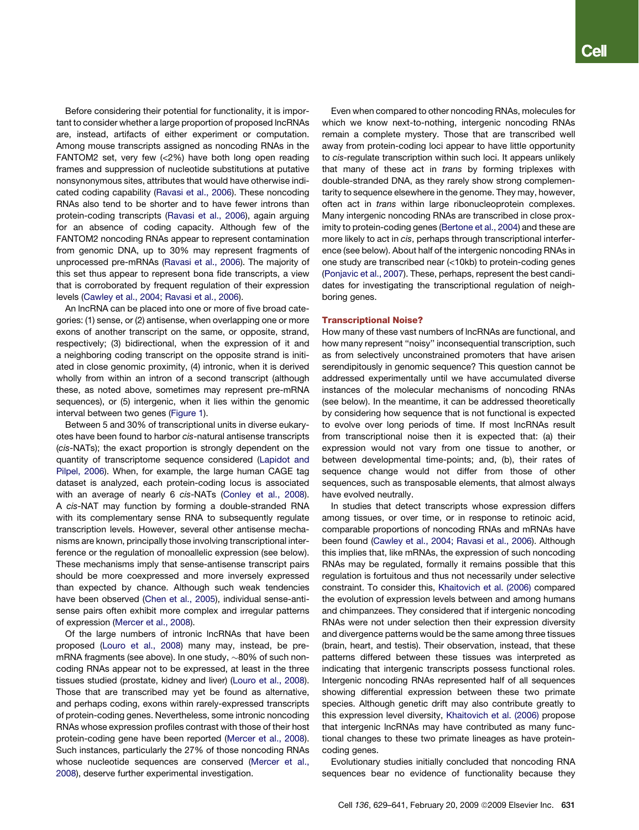Before considering their potential for functionality, it is important to consider whether a large proportion of proposed lncRNAs are, instead, artifacts of either experiment or computation. Among mouse transcripts assigned as noncoding RNAs in the FANTOM2 set, very few (<2%) have both long open reading frames and suppression of nucleotide substitutions at putative nonsynonymous sites, attributes that would have otherwise indicated coding capability ([Ravasi et al., 2006\)](#page-12-0). These noncoding RNAs also tend to be shorter and to have fewer introns than protein-coding transcripts [\(Ravasi et al., 2006\)](#page-12-0), again arguing for an absence of coding capacity. Although few of the FANTOM2 noncoding RNAs appear to represent contamination from genomic DNA, up to 30% may represent fragments of unprocessed pre-mRNAs [\(Ravasi et al., 2006\)](#page-12-0). The majority of this set thus appear to represent bona fide transcripts, a view that is corroborated by frequent regulation of their expression levels [\(Cawley et al., 2004; Ravasi et al., 2006](#page-10-0)).

An lncRNA can be placed into one or more of five broad categories: (1) sense, or (2) antisense, when overlapping one or more exons of another transcript on the same, or opposite, strand, respectively; (3) bidirectional, when the expression of it and a neighboring coding transcript on the opposite strand is initiated in close genomic proximity, (4) intronic, when it is derived wholly from within an intron of a second transcript (although these, as noted above, sometimes may represent pre-mRNA sequences), or (5) intergenic, when it lies within the genomic interval between two genes [\(Figure 1](#page-1-0)).

Between 5 and 30% of transcriptional units in diverse eukaryotes have been found to harbor *cis*-natural antisense transcripts (*cis*-NATs); the exact proportion is strongly dependent on the quantity of transcriptome sequence considered [\(Lapidot and](#page-11-0) [Pilpel, 2006](#page-11-0)). When, for example, the large human CAGE tag dataset is analyzed, each protein-coding locus is associated with an average of nearly 6 *cis*-NATs ([Conley et al., 2008\)](#page-10-0). A *cis*-NAT may function by forming a double-stranded RNA with its complementary sense RNA to subsequently requiate transcription levels. However, several other antisense mechanisms are known, principally those involving transcriptional interference or the regulation of monoallelic expression (see below). These mechanisms imply that sense-antisense transcript pairs should be more coexpressed and more inversely expressed than expected by chance. Although such weak tendencies have been observed ([Chen et al., 2005](#page-10-0)), individual sense-antisense pairs often exhibit more complex and irregular patterns of expression ([Mercer et al., 2008\)](#page-11-0).

Of the large numbers of intronic lncRNAs that have been proposed ([Louro et al., 2008\)](#page-11-0) many may, instead, be premRNA fragments (see above). In one study,  ${\sim}80\%$  of such noncoding RNAs appear not to be expressed, at least in the three tissues studied (prostate, kidney and liver) ([Louro et al., 2008\)](#page-11-0). Those that are transcribed may yet be found as alternative, and perhaps coding, exons within rarely-expressed transcripts of protein-coding genes. Nevertheless, some intronic noncoding RNAs whose expression profiles contrast with those of their host protein-coding gene have been reported [\(Mercer et al., 2008\)](#page-11-0). Such instances, particularly the 27% of those noncoding RNAs whose nucleotide sequences are conserved ([Mercer et al.,](#page-11-0) [2008\)](#page-11-0), deserve further experimental investigation.

Even when compared to other noncoding RNAs, molecules for which we know next-to-nothing, intergenic noncoding RNAs remain a complete mystery. Those that are transcribed well away from protein-coding loci appear to have little opportunity to *cis*-regulate transcription within such loci. It appears unlikely that many of these act in *trans* by forming triplexes with double-stranded DNA, as they rarely show strong complementarity to sequence elsewhere in the genome. They may, however, often act in *trans* within large ribonucleoprotein complexes. Many intergenic noncoding RNAs are transcribed in close proximity to protein-coding genes ([Bertone et al., 2004](#page-10-0)) and these are more likely to act in *cis*, perhaps through transcriptional interference (see below). About half of the intergenic noncoding RNAs in one study are transcribed near (<10kb) to protein-coding genes [\(Ponjavic et al., 2007\)](#page-12-0). These, perhaps, represent the best candidates for investigating the transcriptional regulation of neighboring genes.

# Transcriptional Noise?

How many of these vast numbers of lncRNAs are functional, and how many represent ''noisy'' inconsequential transcription, such as from selectively unconstrained promoters that have arisen serendipitously in genomic sequence? This question cannot be addressed experimentally until we have accumulated diverse instances of the molecular mechanisms of noncoding RNAs (see below). In the meantime, it can be addressed theoretically by considering how sequence that is not functional is expected to evolve over long periods of time. If most lncRNAs result from transcriptional noise then it is expected that: (a) their expression would not vary from one tissue to another, or between developmental time-points; and, (b), their rates of sequence change would not differ from those of other sequences, such as transposable elements, that almost always have evolved neutrally.

In studies that detect transcripts whose expression differs among tissues, or over time, or in response to retinoic acid, comparable proportions of noncoding RNAs and mRNAs have been found ([Cawley et al., 2004; Ravasi et al., 2006](#page-10-0)). Although this implies that, like mRNAs, the expression of such noncoding RNAs may be regulated, formally it remains possible that this regulation is fortuitous and thus not necessarily under selective constraint. To consider this, [Khaitovich et al. \(2006\)](#page-11-0) compared the evolution of expression levels between and among humans and chimpanzees. They considered that if intergenic noncoding RNAs were not under selection then their expression diversity and divergence patterns would be the same among three tissues (brain, heart, and testis). Their observation, instead, that these patterns differed between these tissues was interpreted as indicating that intergenic transcripts possess functional roles. Intergenic noncoding RNAs represented half of all sequences showing differential expression between these two primate species. Although genetic drift may also contribute greatly to this expression level diversity, [Khaitovich et al. \(2006\)](#page-11-0) propose that intergenic lncRNAs may have contributed as many functional changes to these two primate lineages as have proteincoding genes.

Evolutionary studies initially concluded that noncoding RNA sequences bear no evidence of functionality because they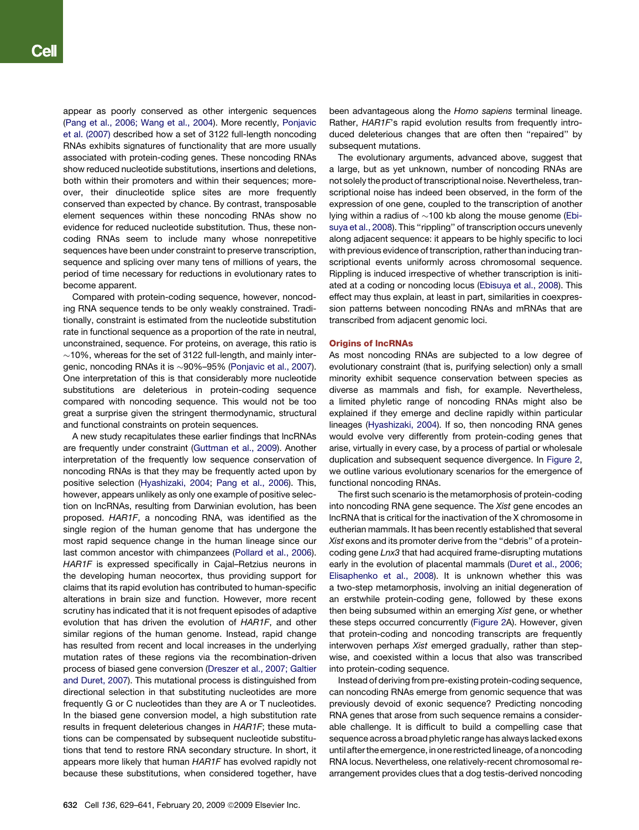appear as poorly conserved as other intergenic sequences ([Pang et al., 2006; Wang et al., 2004](#page-12-0)). More recently, [Ponjavic](#page-12-0) [et al. \(2007\)](#page-12-0) described how a set of 3122 full-length noncoding RNAs exhibits signatures of functionality that are more usually associated with protein-coding genes. These noncoding RNAs show reduced nucleotide substitutions, insertions and deletions, both within their promoters and within their sequences; moreover, their dinucleotide splice sites are more frequently conserved than expected by chance. By contrast, transposable element sequences within these noncoding RNAs show no evidence for reduced nucleotide substitution. Thus, these noncoding RNAs seem to include many whose nonrepetitive sequences have been under constraint to preserve transcription, sequence and splicing over many tens of millions of years, the period of time necessary for reductions in evolutionary rates to become apparent.

Compared with protein-coding sequence, however, noncoding RNA sequence tends to be only weakly constrained. Traditionally, constraint is estimated from the nucleotide substitution rate in functional sequence as a proportion of the rate in neutral, unconstrained, sequence. For proteins, on average, this ratio is  $\sim$ 10%, whereas for the set of 3122 full-length, and mainly intergenic, noncoding RNAs it is  ${\sim} 90\%$ –95% ([Ponjavic et al., 2007](#page-12-0)). One interpretation of this is that considerably more nucleotide substitutions are deleterious in protein-coding sequence compared with noncoding sequence. This would not be too great a surprise given the stringent thermodynamic, structural and functional constraints on protein sequences.

A new study recapitulates these earlier findings that lncRNAs are frequently under constraint ([Guttman et al., 2009\)](#page-11-0). Another interpretation of the frequently low sequence conservation of noncoding RNAs is that they may be frequently acted upon by positive selection ([Hyashizaki, 2004](#page-11-0); [Pang et al., 2006](#page-12-0)). This, however, appears unlikely as only one example of positive selection on lncRNAs, resulting from Darwinian evolution, has been proposed. *HAR1F*, a noncoding RNA, was identified as the single region of the human genome that has undergone the most rapid sequence change in the human lineage since our last common ancestor with chimpanzees ([Pollard et al., 2006](#page-12-0)). *HAR1F* is expressed specifically in Cajal–Retzius neurons in the developing human neocortex, thus providing support for claims that its rapid evolution has contributed to human-specific alterations in brain size and function. However, more recent scrutiny has indicated that it is not frequent episodes of adaptive evolution that has driven the evolution of *HAR1F*, and other similar regions of the human genome. Instead, rapid change has resulted from recent and local increases in the underlying mutation rates of these regions via the recombination-driven process of biased gene conversion [\(Dreszer et al., 2007; Galtier](#page-10-0) [and Duret, 2007\)](#page-10-0). This mutational process is distinguished from directional selection in that substituting nucleotides are more frequently G or C nucleotides than they are A or T nucleotides. In the biased gene conversion model, a high substitution rate results in frequent deleterious changes in *HAR1F*; these mutations can be compensated by subsequent nucleotide substitutions that tend to restore RNA secondary structure. In short, it appears more likely that human *HAR1F* has evolved rapidly not because these substitutions, when considered together, have

been advantageous along the *Homo sapiens* terminal lineage. Rather, *HAR1F*'s rapid evolution results from frequently introduced deleterious changes that are often then ''repaired'' by subsequent mutations.

The evolutionary arguments, advanced above, suggest that a large, but as yet unknown, number of noncoding RNAs are not solely the product of transcriptional noise. Nevertheless, transcriptional noise has indeed been observed, in the form of the expression of one gene, coupled to the transcription of another lying within a radius of  $\sim$ 100 kb along the mouse genome ([Ebi](#page-11-0)[suya et al., 2008](#page-11-0)). This ''rippling'' of transcription occurs unevenly along adjacent sequence: it appears to be highly specific to loci with previous evidence of transcription, rather than inducing transcriptional events uniformly across chromosomal sequence. Rippling is induced irrespective of whether transcription is initiated at a coding or noncoding locus ([Ebisuya et al., 2008](#page-11-0)). This effect may thus explain, at least in part, similarities in coexpression patterns between noncoding RNAs and mRNAs that are transcribed from adjacent genomic loci.

### **Origins of IncRNAs**

As most noncoding RNAs are subjected to a low degree of evolutionary constraint (that is, purifying selection) only a small minority exhibit sequence conservation between species as diverse as mammals and fish, for example. Nevertheless, a limited phyletic range of noncoding RNAs might also be explained if they emerge and decline rapidly within particular lineages ([Hyashizaki, 2004](#page-11-0)). If so, then noncoding RNA genes would evolve very differently from protein-coding genes that arise, virtually in every case, by a process of partial or wholesale duplication and subsequent sequence divergence. In [Figure 2,](#page-4-0) we outline various evolutionary scenarios for the emergence of functional noncoding RNAs.

The first such scenario is the metamorphosis of protein-coding into noncoding RNA gene sequence. The *Xist* gene encodes an lncRNA that is critical for the inactivation of the X chromosome in eutherian mammals. It has been recently established that several *Xist* exons and its promoter derive from the ''debris'' of a proteincoding gene *Lnx3* that had acquired frame-disrupting mutations early in the evolution of placental mammals [\(Duret et al., 2006;](#page-10-0) [Elisaphenko et al., 2008\)](#page-10-0). It is unknown whether this was a two-step metamorphosis, involving an initial degeneration of an erstwhile protein-coding gene, followed by these exons then being subsumed within an emerging *Xist* gene, or whether these steps occurred concurrently ([Figure 2A](#page-4-0)). However, given that protein-coding and noncoding transcripts are frequently interwoven perhaps *Xist* emerged gradually, rather than stepwise, and coexisted within a locus that also was transcribed into protein-coding sequence.

Instead of deriving from pre-existing protein-coding sequence, can noncoding RNAs emerge from genomic sequence that was previously devoid of exonic sequence? Predicting noncoding RNA genes that arose from such sequence remains a considerable challenge. It is difficult to build a compelling case that sequence across a broad phyletic range has always lacked exons until after the emergence, in one restricted lineage, of a noncoding RNA locus. Nevertheless, one relatively-recent chromosomal rearrangement provides clues that a dog testis-derived noncoding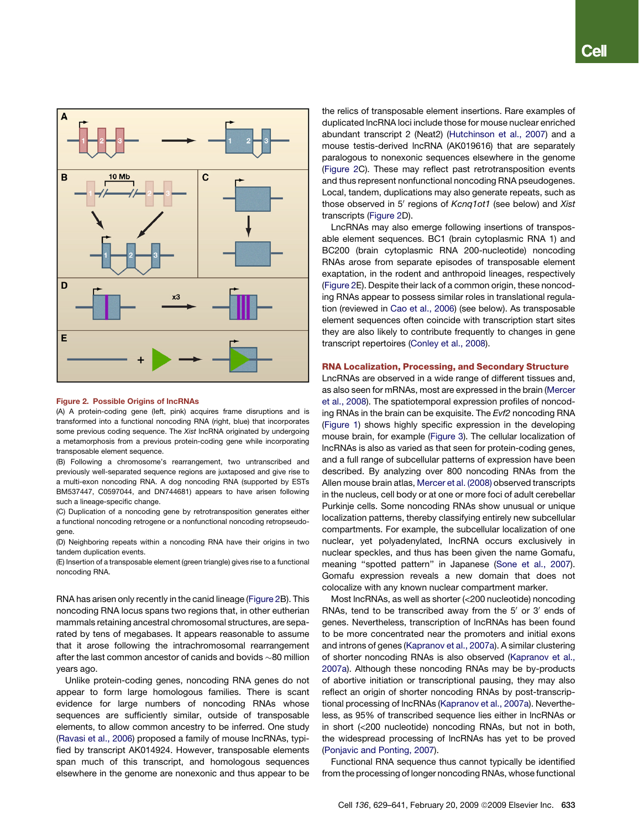<span id="page-4-0"></span>

## Figure 2. Possible Origins of lncRNAs

(A) A protein-coding gene (left, pink) acquires frame disruptions and is transformed into a functional noncoding RNA (right, blue) that incorporates some previous coding sequence. The *Xist* lncRNA originated by undergoing a metamorphosis from a previous protein-coding gene while incorporating transposable element sequence.

(B) Following a chromosome's rearrangement, two untranscribed and previously well-separated sequence regions are juxtaposed and give rise to a multi-exon noncoding RNA. A dog noncoding RNA (supported by ESTs BM537447, C0597044, and DN744681) appears to have arisen following such a lineage-specific change.

(C) Duplication of a noncoding gene by retrotransposition generates either a functional noncoding retrogene or a nonfunctional noncoding retropseudogene.

(D) Neighboring repeats within a noncoding RNA have their origins in two tandem duplication events.

(E) Insertion of a transposable element (green triangle) gives rise to a functional noncoding RNA.

RNA has arisen only recently in the canid lineage (Figure 2B). This noncoding RNA locus spans two regions that, in other eutherian mammals retaining ancestral chromosomal structures, are separated by tens of megabases. It appears reasonable to assume that it arose following the intrachromosomal rearrangement after the last common ancestor of canids and bovids  $\sim$ 80 million years ago.

Unlike protein-coding genes, noncoding RNA genes do not appear to form large homologous families. There is scant evidence for large numbers of noncoding RNAs whose sequences are sufficiently similar, outside of transposable elements, to allow common ancestry to be inferred. One study [\(Ravasi et al., 2006\)](#page-12-0) proposed a family of mouse lncRNAs, typified by transcript AK014924. However, transposable elements span much of this transcript, and homologous sequences elsewhere in the genome are nonexonic and thus appear to be

the relics of transposable element insertions. Rare examples of duplicated lncRNA loci include those for mouse nuclear enriched abundant transcript 2 (Neat2) [\(Hutchinson et al., 2007\)](#page-11-0) and a mouse testis-derived lncRNA (AK019616) that are separately paralogous to nonexonic sequences elsewhere in the genome (Figure 2C). These may reflect past retrotransposition events and thus represent nonfunctional noncoding RNA pseudogenes. Local, tandem, duplications may also generate repeats, such as those observed in 5<sup>0</sup> regions of *Kcnq1ot1* (see below) and *Xist* transcripts (Figure 2D).

LncRNAs may also emerge following insertions of transposable element sequences. BC1 (brain cytoplasmic RNA 1) and BC200 (brain cytoplasmic RNA 200-nucleotide) noncoding RNAs arose from separate episodes of transposable element exaptation, in the rodent and anthropoid lineages, respectively (Figure 2E). Despite their lack of a common origin, these noncoding RNAs appear to possess similar roles in translational regulation (reviewed in [Cao et al., 2006](#page-10-0)) (see below). As transposable element sequences often coincide with transcription start sites they are also likely to contribute frequently to changes in gene transcript repertoires ([Conley et al., 2008](#page-10-0)).

## RNA Localization, Processing, and Secondary Structure

LncRNAs are observed in a wide range of different tissues and, as also seen for mRNAs, most are expressed in the brain [\(Mercer](#page-11-0) [et al., 2008\)](#page-11-0). The spatiotemporal expression profiles of noncoding RNAs in the brain can be exquisite. The *Evf2* noncoding RNA [\(Figure 1](#page-1-0)) shows highly specific expression in the developing mouse brain, for example [\(Figure 3](#page-5-0)). The cellular localization of lncRNAs is also as varied as that seen for protein-coding genes, and a full range of subcellular patterns of expression have been described. By analyzing over 800 noncoding RNAs from the Allen mouse brain atlas, [Mercer et al. \(2008\)](#page-11-0) observed transcripts in the nucleus, cell body or at one or more foci of adult cerebellar Purkinje cells. Some noncoding RNAs show unusual or unique localization patterns, thereby classifying entirely new subcellular compartments. For example, the subcellular localization of one nuclear, yet polyadenylated, lncRNA occurs exclusively in nuclear speckles, and thus has been given the name Gomafu, meaning ''spotted pattern'' in Japanese ([Sone et al., 2007\)](#page-12-0). Gomafu expression reveals a new domain that does not colocalize with any known nuclear compartment marker.

Most lncRNAs, as well as shorter (<200 nucleotide) noncoding RNAs, tend to be transcribed away from the  $5'$  or  $3'$  ends of genes. Nevertheless, transcription of lncRNAs has been found to be more concentrated near the promoters and initial exons and introns of genes ([Kapranov et al., 2007a\)](#page-11-0). A similar clustering of shorter noncoding RNAs is also observed ([Kapranov et al.,](#page-11-0) [2007a](#page-11-0)). Although these noncoding RNAs may be by-products of abortive initiation or transcriptional pausing, they may also reflect an origin of shorter noncoding RNAs by post-transcriptional processing of lncRNAs ([Kapranov et al., 2007a](#page-11-0)). Nevertheless, as 95% of transcribed sequence lies either in lncRNAs or in short (<200 nucleotide) noncoding RNAs, but not in both, the widespread processing of lncRNAs has yet to be proved [\(Ponjavic and Ponting, 2007\)](#page-12-0).

Functional RNA sequence thus cannot typically be identified from the processing of longer noncoding RNAs, whose functional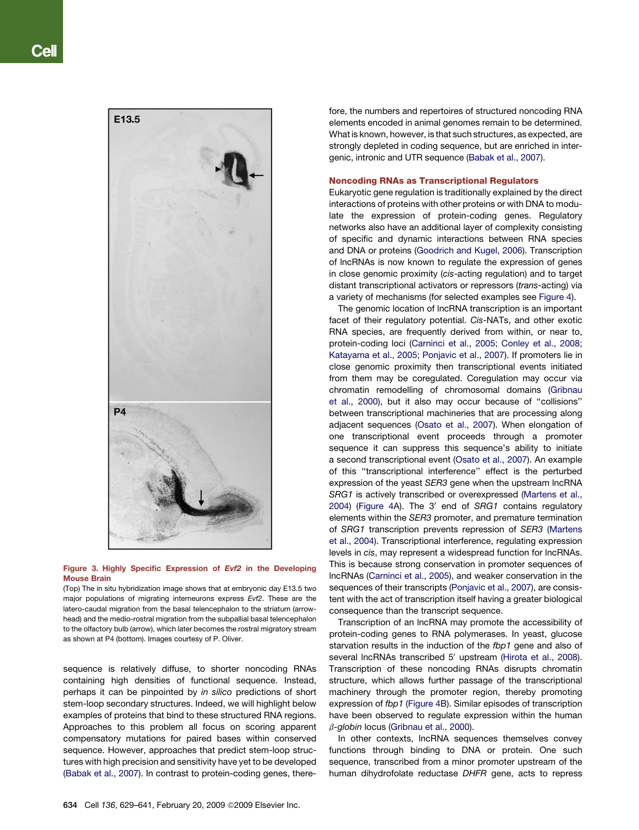<span id="page-5-0"></span>



(Top) The in situ hybridization image shows that at embryonic day E13.5 two major populations of migrating interneurons express *Evf2*. These are the latero-caudal migration from the basal telencephalon to the striatum (arrowhead) and the medio-rostral migration from the subpallial basal telencephalon to the olfactory bulb (arrow), which later becomes the rostral migratory stream as shown at P4 (bottom). Images courtesy of P. Oliver.

sequence is relatively diffuse, to shorter noncoding RNAs containing high densities of functional sequence. Instead, perhaps it can be pinpointed by *in silico* predictions of short stem-loop secondary structures. Indeed, we will highlight below examples of proteins that bind to these structured RNA regions. Approaches to this problem all focus on scoring apparent compensatory mutations for paired bases within conserved sequence. However, approaches that predict stem-loop structures with high precision and sensitivity have yet to be developed ([Babak et al., 2007\)](#page-10-0). In contrast to protein-coding genes, therefore, the numbers and repertoires of structured noncoding RNA elements encoded in animal genomes remain to be determined. What is known, however, is that such structures, as expected, are strongly depleted in coding sequence, but are enriched in intergenic, intronic and UTR sequence ([Babak et al., 2007](#page-10-0)).

# Noncoding RNAs as Transcriptional Regulators

Eukaryotic gene regulation is traditionally explained by the direct interactions of proteins with other proteins or with DNA to modulate the expression of protein-coding genes. Regulatory networks also have an additional layer of complexity consisting of specific and dynamic interactions between RNA species and DNA or proteins ([Goodrich and Kugel, 2006](#page-11-0)). Transcription of lncRNAs is now known to regulate the expression of genes in close genomic proximity (*cis*-acting regulation) and to target distant transcriptional activators or repressors (*trans*-acting) via a variety of mechanisms (for selected examples see [Figure 4\)](#page-6-0).

The genomic location of lncRNA transcription is an important facet of their regulatory potential. *Cis*-NATs, and other exotic RNA species, are frequently derived from within, or near to, protein-coding loci ([Carninci et al., 2005; Conley et al., 2008;](#page-10-0) [Katayama et al., 2005; Ponjavic et al., 2007](#page-10-0)). If promoters lie in close genomic proximity then transcriptional events initiated from them may be coregulated. Coregulation may occur via chromatin remodelling of chromosomal domains ([Gribnau](#page-11-0) [et al., 2000\)](#page-11-0), but it also may occur because of ''collisions'' between transcriptional machineries that are processing along adjacent sequences [\(Osato et al., 2007\)](#page-12-0). When elongation of one transcriptional event proceeds through a promoter sequence it can suppress this sequence's ability to initiate a second transcriptional event [\(Osato et al., 2007\)](#page-12-0). An example of this ''transcriptional interference'' effect is the perturbed expression of the yeast *SER3* gene when the upstream lncRNA *SRG1* is actively transcribed or overexpressed ([Martens et al.,](#page-11-0) [2004\)](#page-11-0) ([Figure 4A](#page-6-0)). The 3' end of *SRG1* contains regulatory elements within the *SER3* promoter, and premature termination of *SRG1* transcription prevents repression of *SER3* ([Martens](#page-11-0) [et al., 2004](#page-11-0)). Transcriptional interference, regulating expression levels in *cis*, may represent a widespread function for lncRNAs. This is because strong conservation in promoter sequences of lncRNAs [\(Carninci et al., 2005](#page-10-0)), and weaker conservation in the sequences of their transcripts [\(Ponjavic et al., 2007\)](#page-12-0), are consistent with the act of transcription itself having a greater biological consequence than the transcript sequence.

Transcription of an lncRNA may promote the accessibility of protein-coding genes to RNA polymerases. In yeast, glucose starvation results in the induction of the *fbp1* gene and also of several IncRNAs transcribed 5' upstream [\(Hirota et al., 2008](#page-11-0)). Transcription of these noncoding RNAs disrupts chromatin structure, which allows further passage of the transcriptional machinery through the promoter region, thereby promoting expression of *fbp1* [\(Figure 4](#page-6-0)B). Similar episodes of transcription have been observed to regulate expression within the human b*-globin* locus [\(Gribnau et al., 2000](#page-11-0)).

In other contexts, lncRNA sequences themselves convey functions through binding to DNA or protein. One such sequence, transcribed from a minor promoter upstream of the human dihydrofolate reductase *DHFR* gene, acts to repress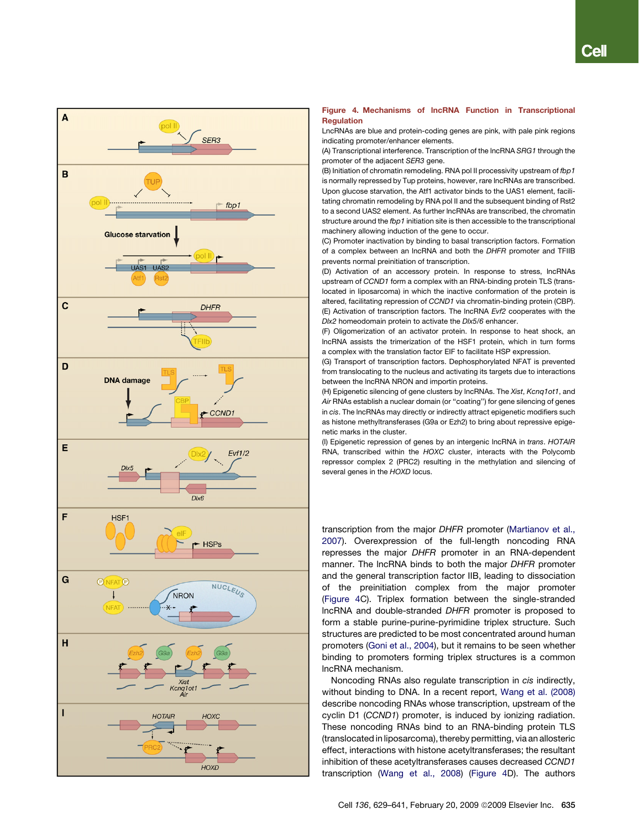<span id="page-6-0"></span>

#### Figure 4. Mechanisms of lncRNA Function in Transcriptional **Regulation**

LncRNAs are blue and protein-coding genes are pink, with pale pink regions indicating promoter/enhancer elements.

(A) Transcriptional interference. Transcription of the lncRNA *SRG1* through the promoter of the adjacent *SER3* gene.

(B) Initiation of chromatin remodeling. RNA pol II processivity upstream of *fbp1* is normally repressed by Tup proteins, however, rare lncRNAs are transcribed. Upon glucose starvation, the Atf1 activator binds to the UAS1 element, facilitating chromatin remodeling by RNA pol II and the subsequent binding of Rst2 to a second UAS2 element. As further lncRNAs are transcribed, the chromatin structure around the *fbp1* initiation site is then accessible to the transcriptional machinery allowing induction of the gene to occur.

(C) Promoter inactivation by binding to basal transcription factors. Formation of a complex between an lncRNA and both the *DHFR* promoter and TFIIB prevents normal preinitiation of transcription.

(D) Activation of an accessory protein. In response to stress, lncRNAs upstream of *CCND1* form a complex with an RNA-binding protein TLS (translocated in liposarcoma) in which the inactive conformation of the protein is altered, facilitating repression of *CCND1* via chromatin-binding protein (CBP). (E) Activation of transcription factors. The lncRNA *Evf2* cooperates with the *Dlx2* homeodomain protein to activate the *Dlx5/6* enhancer.

(F) Oligomerization of an activator protein. In response to heat shock, an lncRNA assists the trimerization of the HSF1 protein, which in turn forms a complex with the translation factor EIF to facilitate HSP expression.

(G) Transport of transcription factors. Dephosphorylated NFAT is prevented from translocating to the nucleus and activating its targets due to interactions between the lncRNA NRON and importin proteins.

(H) Epigenetic silencing of gene clusters by lncRNAs. The *Xist*, *Kcnq1ot1*, and *Air* RNAs establish a nuclear domain (or ''coating'') for gene silencing of genes in *cis*. The lncRNAs may directly or indirectly attract epigenetic modifiers such as histone methyltransferases (G9a or Ezh2) to bring about repressive epigenetic marks in the cluster.

(I) Epigenetic repression of genes by an intergenic lncRNA in *trans*. *HOTAIR* RNA, transcribed within the *HOXC* cluster, interacts with the Polycomb repressor complex 2 (PRC2) resulting in the methylation and silencing of several genes in the *HOXD* locus.

transcription from the major *DHFR* promoter ([Martianov et al.,](#page-11-0) [2007\)](#page-11-0). Overexpression of the full-length noncoding RNA represses the major *DHFR* promoter in an RNA-dependent manner. The lncRNA binds to both the major *DHFR* promoter and the general transcription factor IIB, leading to dissociation of the preinitiation complex from the major promoter (Figure 4C). Triplex formation between the single-stranded lncRNA and double-stranded *DHFR* promoter is proposed to form a stable purine-purine-pyrimidine triplex structure. Such structures are predicted to be most concentrated around human promoters ([Goni et al., 2004\)](#page-11-0), but it remains to be seen whether binding to promoters forming triplex structures is a common lncRNA mechanism.

Noncoding RNAs also regulate transcription in *cis* indirectly, without binding to DNA. In a recent report, [Wang et al. \(2008\)](#page-12-0) describe noncoding RNAs whose transcription, upstream of the cyclin D1 (*CCND1*) promoter, is induced by ionizing radiation. These noncoding RNAs bind to an RNA-binding protein TLS (translocated in liposarcoma), thereby permitting, via an allosteric effect, interactions with histone acetyltransferases; the resultant inhibition of these acetyltransferases causes decreased *CCND1* transcription [\(Wang et al., 2008](#page-12-0)) (Figure 4D). The authors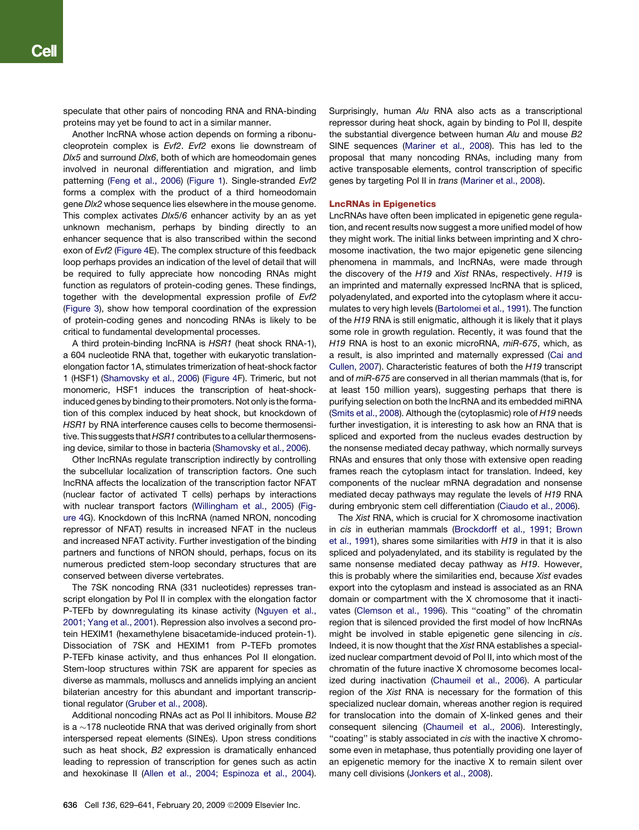speculate that other pairs of noncoding RNA and RNA-binding proteins may yet be found to act in a similar manner.

Another lncRNA whose action depends on forming a ribonucleoprotein complex is *Evf2*. *Evf2* exons lie downstream of *Dlx5* and surround *Dlx6*, both of which are homeodomain genes involved in neuronal differentiation and migration, and limb patterning ([Feng et al., 2006\)](#page-11-0) ([Figure 1\)](#page-1-0). Single-stranded *Evf2* forms a complex with the product of a third homeodomain gene *Dlx2* whose sequence lies elsewhere in the mouse genome. This complex activates *Dlx5/6* enhancer activity by an as yet unknown mechanism, perhaps by binding directly to an enhancer sequence that is also transcribed within the second exon of *Evf2* [\(Figure 4E](#page-6-0)). The complex structure of this feedback loop perhaps provides an indication of the level of detail that will be required to fully appreciate how noncoding RNAs might function as regulators of protein-coding genes. These findings, together with the developmental expression profile of *Evf2* ([Figure 3\)](#page-5-0), show how temporal coordination of the expression of protein-coding genes and noncoding RNAs is likely to be critical to fundamental developmental processes.

A third protein-binding lncRNA is *HSR1* (heat shock RNA-1), a 604 nucleotide RNA that, together with eukaryotic translationelongation factor 1A, stimulates trimerization of heat-shock factor 1 (HSF1) ([Shamovsky et al., 2006](#page-12-0)) [\(Figure 4](#page-6-0)F). Trimeric, but not monomeric, HSF1 induces the transcription of heat-shockinduced genes by binding to their promoters. Not only is the formation of this complex induced by heat shock, but knockdown of *HSR1* by RNA interference causes cells to become thermosensitive. This suggests that*HSR1* contributes to a cellular thermosensing device, similar to those in bacteria ([Shamovsky et al., 2006\)](#page-12-0).

Other lncRNAs regulate transcription indirectly by controlling the subcellular localization of transcription factors. One such lncRNA affects the localization of the transcription factor NFAT (nuclear factor of activated T cells) perhaps by interactions with nuclear transport factors ([Willingham et al., 2005](#page-12-0)) [\(Fig](#page-6-0)[ure 4](#page-6-0)G). Knockdown of this lncRNA (named NRON, noncoding repressor of NFAT) results in increased NFAT in the nucleus and increased NFAT activity. Further investigation of the binding partners and functions of NRON should, perhaps, focus on its numerous predicted stem-loop secondary structures that are conserved between diverse vertebrates.

The 7SK noncoding RNA (331 nucleotides) represses transcript elongation by Pol II in complex with the elongation factor P-TEFb by downregulating its kinase activity ([Nguyen et al.,](#page-12-0) [2001; Yang et al., 2001](#page-12-0)). Repression also involves a second protein HEXIM1 (hexamethylene bisacetamide-induced protein-1). Dissociation of 7SK and HEXIM1 from P-TEFb promotes P-TEFb kinase activity, and thus enhances Pol II elongation. Stem-loop structures within 7SK are apparent for species as diverse as mammals, molluscs and annelids implying an ancient bilaterian ancestry for this abundant and important transcriptional regulator ([Gruber et al., 2008\)](#page-11-0).

Additional noncoding RNAs act as Pol II inhibitors. Mouse *B2* is a  ${\sim}$ 178 nucleotide RNA that was derived originally from short interspersed repeat elements (SINEs). Upon stress conditions such as heat shock, *B2* expression is dramatically enhanced leading to repression of transcription for genes such as actin and hexokinase II ([Allen et al., 2004; Espinoza et al., 2004](#page-10-0)).

Surprisingly, human *Alu* RNA also acts as a transcriptional repressor during heat shock, again by binding to Pol II, despite the substantial divergence between human *Alu* and mouse *B2* SINE sequences [\(Mariner et al., 2008](#page-11-0)). This has led to the proposal that many noncoding RNAs, including many from active transposable elements, control transcription of specific genes by targeting Pol II in *trans* [\(Mariner et al., 2008](#page-11-0)).

#### LncRNAs in Epigenetics

LncRNAs have often been implicated in epigenetic gene regulation, and recent results now suggest a more unified model of how they might work. The initial links between imprinting and X chromosome inactivation, the two major epigenetic gene silencing phenomena in mammals, and lncRNAs, were made through the discovery of the *H19* and *Xist* RNAs, respectively. *H19* is an imprinted and maternally expressed lncRNA that is spliced, polyadenylated, and exported into the cytoplasm where it accumulates to very high levels [\(Bartolomei et al., 1991](#page-10-0)). The function of the *H19* RNA is still enigmatic, although it is likely that it plays some role in growth regulation. Recently, it was found that the *H19* RNA is host to an exonic microRNA, *miR-675*, which, as a result, is also imprinted and maternally expressed ([Cai and](#page-10-0) [Cullen, 2007](#page-10-0)). Characteristic features of both the *H19* transcript and of *miR-675* are conserved in all therian mammals (that is, for at least 150 million years), suggesting perhaps that there is purifying selection on both the lncRNA and its embedded miRNA [\(Smits et al., 2008](#page-12-0)). Although the (cytoplasmic) role of *H19* needs further investigation, it is interesting to ask how an RNA that is spliced and exported from the nucleus evades destruction by the nonsense mediated decay pathway, which normally surveys RNAs and ensures that only those with extensive open reading frames reach the cytoplasm intact for translation. Indeed, key components of the nuclear mRNA degradation and nonsense mediated decay pathways may regulate the levels of *H19* RNA during embryonic stem cell differentiation ([Ciaudo et al., 2006](#page-10-0)).

The *Xist* RNA, which is crucial for X chromosome inactivation in *cis* in eutherian mammals [\(Brockdorff et al., 1991; Brown](#page-10-0) [et al., 1991\)](#page-10-0), shares some similarities with *H19* in that it is also spliced and polyadenylated, and its stability is regulated by the same nonsense mediated decay pathway as *H19*. However, this is probably where the similarities end, because *Xist* evades export into the cytoplasm and instead is associated as an RNA domain or compartment with the X chromosome that it inactivates ([Clemson et al., 1996](#page-10-0)). This ''coating'' of the chromatin region that is silenced provided the first model of how lncRNAs might be involved in stable epigenetic gene silencing in *cis*. Indeed, it is now thought that the *Xist* RNA establishes a specialized nuclear compartment devoid of Pol II, into which most of the chromatin of the future inactive X chromosome becomes localized during inactivation [\(Chaumeil et al., 2006](#page-10-0)). A particular region of the *Xist* RNA is necessary for the formation of this specialized nuclear domain, whereas another region is required for translocation into the domain of X-linked genes and their consequent silencing ([Chaumeil et al., 2006](#page-10-0)). Interestingly, ''coating'' is stably associated in *cis* with the inactive X chromosome even in metaphase, thus potentially providing one layer of an epigenetic memory for the inactive X to remain silent over many cell divisions ([Jonkers et al., 2008\)](#page-11-0).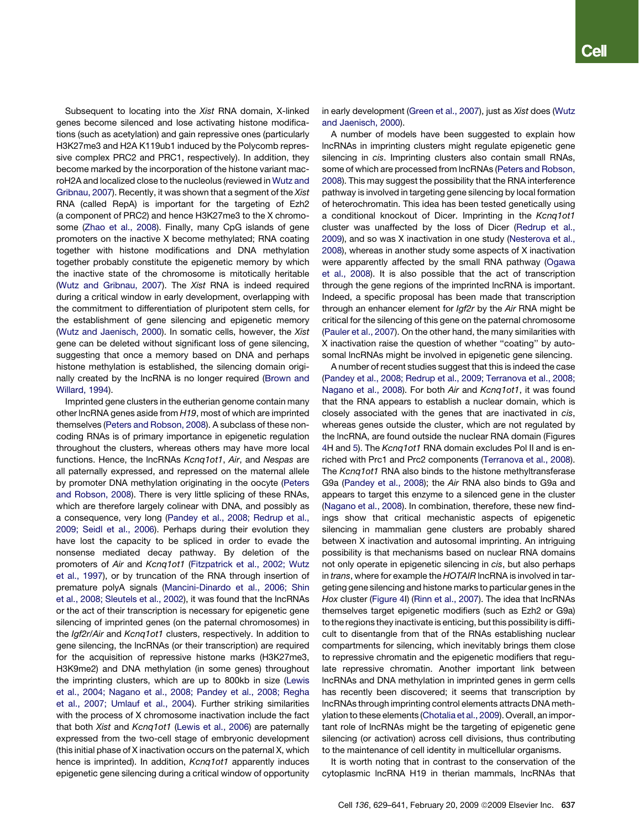Subsequent to locating into the *Xist* RNA domain, X-linked genes become silenced and lose activating histone modifications (such as acetylation) and gain repressive ones (particularly H3K27me3 and H2A K119ub1 induced by the Polycomb repressive complex PRC2 and PRC1, respectively). In addition, they become marked by the incorporation of the histone variant macroH2A and localized close to the nucleolus (reviewed in [Wutz and](#page-12-0) [Gribnau, 2007\)](#page-12-0). Recently, it was shown that a segment of the *Xist* RNA (called RepA) is important for the targeting of Ezh2 (a component of PRC2) and hence H3K27me3 to the X chromosome ([Zhao et al., 2008\)](#page-12-0). Finally, many CpG islands of gene promoters on the inactive X become methylated; RNA coating together with histone modifications and DNA methylation together probably constitute the epigenetic memory by which the inactive state of the chromosome is mitotically heritable [\(Wutz and Gribnau, 2007](#page-12-0)). The *Xist* RNA is indeed required during a critical window in early development, overlapping with the commitment to differentiation of pluripotent stem cells, for the establishment of gene silencing and epigenetic memory [\(Wutz and Jaenisch, 2000\)](#page-12-0). In somatic cells, however, the *Xist* gene can be deleted without significant loss of gene silencing, suggesting that once a memory based on DNA and perhaps histone methylation is established, the silencing domain originally created by the lncRNA is no longer required [\(Brown and](#page-10-0) [Willard, 1994](#page-10-0)).

Imprinted gene clusters in the eutherian genome contain many other lncRNA genes aside from *H19*, most of which are imprinted themselves ([Peters and Robson, 2008](#page-12-0)). A subclass of these noncoding RNAs is of primary importance in epigenetic regulation throughout the clusters, whereas others may have more local functions. Hence, the lncRNAs *Kcnq1ot1*, *Air*, and *Nespas* are all paternally expressed, and repressed on the maternal allele by promoter DNA methylation originating in the oocyte ([Peters](#page-12-0) [and Robson, 2008\)](#page-12-0). There is very little splicing of these RNAs, which are therefore largely colinear with DNA, and possibly as a consequence, very long [\(Pandey et al., 2008; Redrup et al.,](#page-12-0) [2009; Seidl et al., 2006\)](#page-12-0). Perhaps during their evolution they have lost the capacity to be spliced in order to evade the nonsense mediated decay pathway. By deletion of the promoters of *Air* and *Kcnq1ot1* [\(Fitzpatrick et al., 2002; Wutz](#page-11-0) [et al., 1997\)](#page-11-0), or by truncation of the RNA through insertion of premature polyA signals [\(Mancini-Dinardo et al., 2006; Shin](#page-11-0) [et al., 2008; Sleutels et al., 2002](#page-11-0)), it was found that the lncRNAs or the act of their transcription is necessary for epigenetic gene silencing of imprinted genes (on the paternal chromosomes) in the *Igf2r*/*Air* and *Kcnq1ot1* clusters, respectively. In addition to gene silencing, the lncRNAs (or their transcription) are required for the acquisition of repressive histone marks (H3K27me3, H3K9me2) and DNA methylation (in some genes) throughout the imprinting clusters, which are up to 800kb in size [\(Lewis](#page-11-0) [et al., 2004; Nagano et al., 2008; Pandey et al., 2008; Regha](#page-11-0) [et al., 2007; Umlauf et al., 2004](#page-11-0)). Further striking similarities with the process of X chromosome inactivation include the fact that both *Xist* and *Kcnq1ot1* [\(Lewis et al., 2006](#page-11-0)) are paternally expressed from the two-cell stage of embryonic development (this initial phase of X inactivation occurs on the paternal X, which hence is imprinted). In addition, *Kcnq1ot1* apparently induces epigenetic gene silencing during a critical window of opportunity **Cell** 

in early development [\(Green et al., 2007\)](#page-11-0), just as *Xist* does ([Wutz](#page-12-0) [and Jaenisch, 2000\)](#page-12-0).

A number of models have been suggested to explain how lncRNAs in imprinting clusters might regulate epigenetic gene silencing in *cis*. Imprinting clusters also contain small RNAs, some of which are processed from lncRNAs ([Peters and Robson,](#page-12-0) [2008\)](#page-12-0). This may suggest the possibility that the RNA interference pathway is involved in targeting gene silencing by local formation of heterochromatin. This idea has been tested genetically using a conditional knockout of Dicer. Imprinting in the *Kcnq1ot1* cluster was unaffected by the loss of Dicer ([Redrup et al.,](#page-12-0) [2009\)](#page-12-0), and so was X inactivation in one study [\(Nesterova et al.,](#page-12-0) [2008\)](#page-12-0), whereas in another study some aspects of X inactivation were apparently affected by the small RNA pathway [\(Ogawa](#page-12-0) [et al., 2008\)](#page-12-0). It is also possible that the act of transcription through the gene regions of the imprinted lncRNA is important. Indeed, a specific proposal has been made that transcription through an enhancer element for *Igf2r* by the *Air* RNA might be critical for the silencing of this gene on the paternal chromosome [\(Pauler et al., 2007\)](#page-12-0). On the other hand, the many similarities with X inactivation raise the question of whether ''coating'' by autosomal lncRNAs might be involved in epigenetic gene silencing.

A number of recent studies suggest that this is indeed the case [\(Pandey et al., 2008; Redrup et al., 2009; Terranova et al., 2008;](#page-12-0) [Nagano et al., 2008\)](#page-12-0). For both *Air* and *Kcnq1ot1*, it was found that the RNA appears to establish a nuclear domain, which is closely associated with the genes that are inactivated in *cis*, whereas genes outside the cluster, which are not regulated by the lncRNA, are found outside the nuclear RNA domain (Figures [4H](#page-6-0) and [5\)](#page-9-0). The *Kcnq1ot1* RNA domain excludes Pol II and is enriched with Prc1 and Prc2 components [\(Terranova et al., 2008\)](#page-12-0). The *Kcnq1ot1* RNA also binds to the histone methyltransferase G9a [\(Pandey et al., 2008](#page-12-0)); the *Air* RNA also binds to G9a and appears to target this enzyme to a silenced gene in the cluster [\(Nagano et al., 2008\)](#page-12-0). In combination, therefore, these new findings show that critical mechanistic aspects of epigenetic silencing in mammalian gene clusters are probably shared between X inactivation and autosomal imprinting. An intriguing possibility is that mechanisms based on nuclear RNA domains not only operate in epigenetic silencing in *cis*, but also perhaps in *trans*, where for example the *HOTAIR* lncRNA is involved in targeting gene silencing and histone marks to particular genes in the *Hox* cluster [\(Figure 4I](#page-6-0)) ([Rinn et al., 2007\)](#page-12-0). The idea that lncRNAs themselves target epigenetic modifiers (such as Ezh2 or G9a) to the regions they inactivate is enticing, but this possibility is difficult to disentangle from that of the RNAs establishing nuclear compartments for silencing, which inevitably brings them close to repressive chromatin and the epigenetic modifiers that regulate repressive chromatin. Another important link between lncRNAs and DNA methylation in imprinted genes in germ cells has recently been discovered; it seems that transcription by lncRNAs through imprinting control elements attracts DNA methylation to these elements [\(Chotalia et al., 2009\)](#page-10-0). Overall, an important role of lncRNAs might be the targeting of epigenetic gene silencing (or activation) across cell divisions, thus contributing to the maintenance of cell identity in multicellular organisms.

It is worth noting that in contrast to the conservation of the cytoplasmic lncRNA H19 in therian mammals, lncRNAs that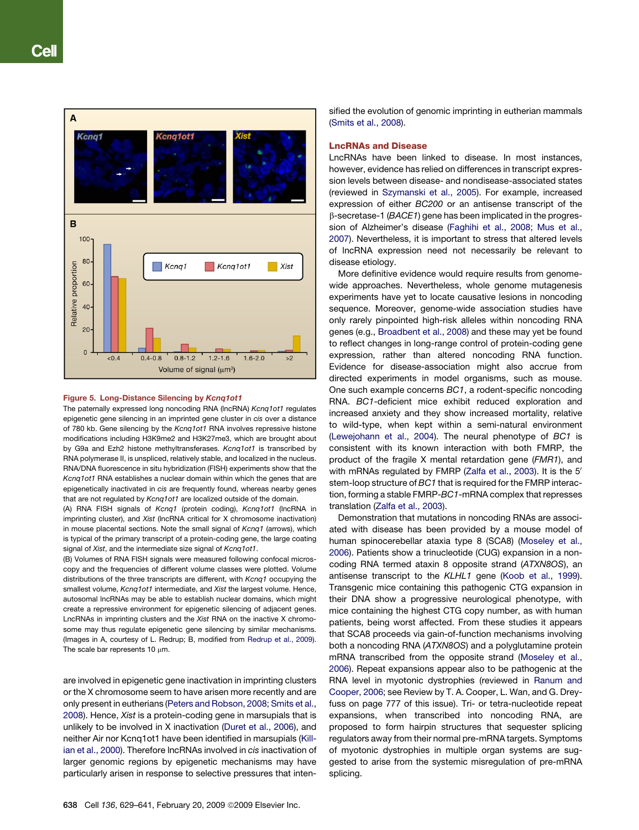<span id="page-9-0"></span>

### Figure 5. Long-Distance Silencing by Kcnq1ot1

The paternally expressed long noncoding RNA (lncRNA) *Kcnq1ot1* regulates epigenetic gene silencing in an imprinted gene cluster in *cis* over a distance of 780 kb. Gene silencing by the *Kcnq1ot1* RNA involves repressive histone modifications including H3K9me2 and H3K27me3, which are brought about by G9a and Ezh2 histone methyltransferases. *Kcnq1ot1* is transcribed by RNA polymerase II, is unspliced, relatively stable, and localized in the nucleus. RNA/DNA fluorescence in situ hybridization (FISH) experiments show that the *Kcnq1ot1* RNA establishes a nuclear domain within which the genes that are epigenetically inactivated in *cis* are frequently found, whereas nearby genes that are not regulated by *Kcnq1ot1* are localized outside of the domain.

(A) RNA FISH signals of *Kcnq1* (protein coding), *Kcnq1ot1* (lncRNA in imprinting cluster), and *Xist* (lncRNA critical for X chromosome inactivation) in mouse placental sections. Note the small signal of *Kcnq1* (arrows), which is typical of the primary transcript of a protein-coding gene, the large coating signal of *Xist*, and the intermediate size signal of *Kcnq1ot1*.

(B) Volumes of RNA FISH signals were measured following confocal microscopy and the frequencies of different volume classes were plotted. Volume distributions of the three transcripts are different, with *Kcnq1* occupying the smallest volume, *Kcnq1ot1* intermediate, and *Xist* the largest volume. Hence, autosomal lncRNAs may be able to establish nuclear domains, which might create a repressive environment for epigenetic silencing of adjacent genes. LncRNAs in imprinting clusters and the *Xist* RNA on the inactive X chromosome may thus regulate epigenetic gene silencing by similar mechanisms. (Images in A, courtesy of L. Redrup; B, modified from [Redrup et al., 2009](#page-12-0)). The scale bar represents 10  $\mu$ m.

are involved in epigenetic gene inactivation in imprinting clusters or the X chromosome seem to have arisen more recently and are only present in eutherians [\(Peters and Robson, 2008; Smits et al.,](#page-12-0) [2008](#page-12-0)). Hence, *Xist* is a protein-coding gene in marsupials that is unlikely to be involved in X inactivation ([Duret et al., 2006](#page-10-0)), and neither Air nor Kcnq1ot1 have been identified in marsupials [\(Kill](#page-11-0)[ian et al., 2000\)](#page-11-0). Therefore lncRNAs involved in *cis* inactivation of larger genomic regions by epigenetic mechanisms may have particularly arisen in response to selective pressures that intensified the evolution of genomic imprinting in eutherian mammals [\(Smits et al., 2008\)](#page-12-0).

## LncRNAs and Disease

LncRNAs have been linked to disease. In most instances, however, evidence has relied on differences in transcript expression levels between disease- and nondisease-associated states (reviewed in [Szymanski et al., 2005](#page-12-0)). For example, increased expression of either *BC200* or an antisense transcript of the b-secretase-1 (*BACE1*) gene has been implicated in the progression of Alzheimer's disease ([Faghihi et al., 2008; Mus et al.,](#page-11-0) [2007\)](#page-11-0). Nevertheless, it is important to stress that altered levels of lncRNA expression need not necessarily be relevant to disease etiology.

More definitive evidence would require results from genomewide approaches. Nevertheless, whole genome mutagenesis experiments have yet to locate causative lesions in noncoding sequence. Moreover, genome-wide association studies have only rarely pinpointed high-risk alleles within noncoding RNA genes (e.g., [Broadbent et al., 2008\)](#page-10-0) and these may yet be found to reflect changes in long-range control of protein-coding gene expression, rather than altered noncoding RNA function. Evidence for disease-association might also accrue from directed experiments in model organisms, such as mouse. One such example concerns *BC1*, a rodent-specific noncoding RNA. *BC1*-deficient mice exhibit reduced exploration and increased anxiety and they show increased mortality, relative to wild-type, when kept within a semi-natural environment [\(Lewejohann et al., 2004\)](#page-11-0). The neural phenotype of *BC1* is consistent with its known interaction with both FMRP, the product of the fragile X mental retardation gene (*FMR1*), and with mRNAs regulated by FMRP [\(Zalfa et al., 2003](#page-12-0)). It is the  $5'$ stem-loop structure of *BC1* that is required for the FMRP interaction, forming a stable FMRP-*BC1*-mRNA complex that represses translation ([Zalfa et al., 2003\)](#page-12-0).

Demonstration that mutations in noncoding RNAs are associated with disease has been provided by a mouse model of human spinocerebellar ataxia type 8 (SCA8) [\(Moseley et al.,](#page-11-0) [2006\)](#page-11-0). Patients show a trinucleotide (CUG) expansion in a noncoding RNA termed ataxin 8 opposite strand (*ATXN8OS*), an antisense transcript to the *KLHL1* gene ([Koob et al., 1999](#page-11-0)). Transgenic mice containing this pathogenic CTG expansion in their DNA show a progressive neurological phenotype, with mice containing the highest CTG copy number, as with human patients, being worst affected. From these studies it appears that SCA8 proceeds via gain-of-function mechanisms involving both a noncoding RNA (*ATXN8OS*) and a polyglutamine protein mRNA transcribed from the opposite strand ([Moseley et al.,](#page-11-0) [2006\)](#page-11-0). Repeat expansions appear also to be pathogenic at the RNA level in myotonic dystrophies (reviewed in [Ranum and](#page-12-0) [Cooper, 2006;](#page-12-0) see Review by T. A. Cooper, L. Wan, and G. Dreyfuss on page 777 of this issue). Tri- or tetra-nucleotide repeat expansions, when transcribed into noncoding RNA, are proposed to form hairpin structures that sequester splicing regulators away from their normal pre-mRNA targets. Symptoms of myotonic dystrophies in multiple organ systems are suggested to arise from the systemic misregulation of pre-mRNA splicing.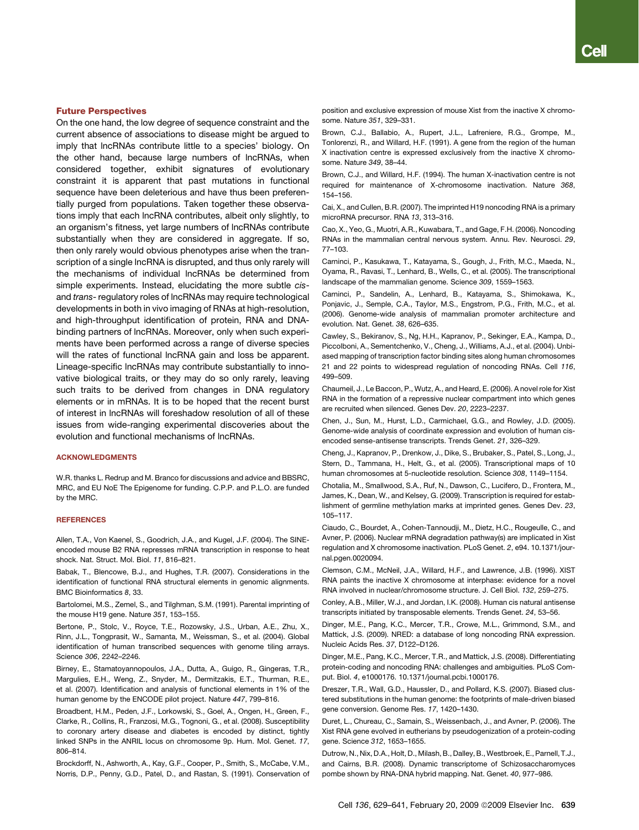# <span id="page-10-0"></span>Future Perspectives

On the one hand, the low degree of sequence constraint and the current absence of associations to disease might be argued to imply that lncRNAs contribute little to a species' biology. On the other hand, because large numbers of lncRNAs, when considered together, exhibit signatures of evolutionary constraint it is apparent that past mutations in functional sequence have been deleterious and have thus been preferentially purged from populations. Taken together these observations imply that each lncRNA contributes, albeit only slightly, to an organism's fitness, yet large numbers of lncRNAs contribute substantially when they are considered in aggregate. If so, then only rarely would obvious phenotypes arise when the transcription of a single lncRNA is disrupted, and thus only rarely will the mechanisms of individual lncRNAs be determined from simple experiments. Instead, elucidating the more subtle *cis*and *trans*- regulatory roles of lncRNAs may require technological developments in both in vivo imaging of RNAs at high-resolution, and high-throughput identification of protein, RNA and DNAbinding partners of lncRNAs. Moreover, only when such experiments have been performed across a range of diverse species will the rates of functional lncRNA gain and loss be apparent. Lineage-specific lncRNAs may contribute substantially to innovative biological traits, or they may do so only rarely, leaving such traits to be derived from changes in DNA regulatory elements or in mRNAs. It is to be hoped that the recent burst of interest in lncRNAs will foreshadow resolution of all of these issues from wide-ranging experimental discoveries about the evolution and functional mechanisms of lncRNAs.

## ACKNOWLEDGMENTS

W.R. thanks L. Redrup and M. Branco for discussions and advice and BBSRC, MRC, and EU NoE The Epigenome for funding. C.P.P. and P.L.O. are funded by the MRC.

#### **REFERENCES**

Allen, T.A., Von Kaenel, S., Goodrich, J.A., and Kugel, J.F. (2004). The SINEencoded mouse B2 RNA represses mRNA transcription in response to heat shock. Nat. Struct. Mol. Biol. *11*, 816–821.

Babak, T., Blencowe, B.J., and Hughes, T.R. (2007). Considerations in the identification of functional RNA structural elements in genomic alignments. BMC Bioinformatics *8*, 33.

Bartolomei, M.S., Zemel, S., and Tilghman, S.M. (1991). Parental imprinting of the mouse H19 gene. Nature *351*, 153–155.

Bertone, P., Stolc, V., Royce, T.E., Rozowsky, J.S., Urban, A.E., Zhu, X., Rinn, J.L., Tongprasit, W., Samanta, M., Weissman, S., et al. (2004). Global identification of human transcribed sequences with genome tiling arrays. Science *306*, 2242–2246.

Birney, E., Stamatoyannopoulos, J.A., Dutta, A., Guigo, R., Gingeras, T.R., Margulies, E.H., Weng, Z., Snyder, M., Dermitzakis, E.T., Thurman, R.E., et al. (2007). Identification and analysis of functional elements in 1% of the human genome by the ENCODE pilot project. Nature *447*, 799–816.

Broadbent, H.M., Peden, J.F., Lorkowski, S., Goel, A., Ongen, H., Green, F., Clarke, R., Collins, R., Franzosi, M.G., Tognoni, G., et al. (2008). Susceptibility to coronary artery disease and diabetes is encoded by distinct, tightly linked SNPs in the ANRIL locus on chromosome 9p. Hum. Mol. Genet. *17*, 806–814.

Brockdorff, N., Ashworth, A., Kay, G.F., Cooper, P., Smith, S., McCabe, V.M., Norris, D.P., Penny, G.D., Patel, D., and Rastan, S. (1991). Conservation of position and exclusive expression of mouse Xist from the inactive X chromosome. Nature *351*, 329–331.

Brown, C.J., Ballabio, A., Rupert, J.L., Lafreniere, R.G., Grompe, M., Tonlorenzi, R., and Willard, H.F. (1991). A gene from the region of the human X inactivation centre is expressed exclusively from the inactive X chromosome. Nature *349*, 38–44.

Brown, C.J., and Willard, H.F. (1994). The human X-inactivation centre is not required for maintenance of X-chromosome inactivation. Nature *368*, 154–156.

Cai, X., and Cullen, B.R. (2007). The imprinted H19 noncoding RNA is a primary microRNA precursor. RNA *13*, 313–316.

Cao, X., Yeo, G., Muotri, A.R., Kuwabara, T., and Gage, F.H. (2006). Noncoding RNAs in the mammalian central nervous system. Annu. Rev. Neurosci. *29*, 77–103.

Carninci, P., Kasukawa, T., Katayama, S., Gough, J., Frith, M.C., Maeda, N., Oyama, R., Ravasi, T., Lenhard, B., Wells, C., et al. (2005). The transcriptional landscape of the mammalian genome. Science *309*, 1559–1563.

Carninci, P., Sandelin, A., Lenhard, B., Katayama, S., Shimokawa, K., Ponjavic, J., Semple, C.A., Taylor, M.S., Engstrom, P.G., Frith, M.C., et al. (2006). Genome-wide analysis of mammalian promoter architecture and evolution. Nat. Genet. *38*, 626–635.

Cawley, S., Bekiranov, S., Ng, H.H., Kapranov, P., Sekinger, E.A., Kampa, D., Piccolboni, A., Sementchenko, V., Cheng, J., Williams, A.J., et al. (2004). Unbiased mapping of transcription factor binding sites along human chromosomes 21 and 22 points to widespread regulation of noncoding RNAs. Cell *116*, 499–509.

Chaumeil, J., Le Baccon, P., Wutz, A., and Heard, E. (2006). A novel role for Xist RNA in the formation of a repressive nuclear compartment into which genes are recruited when silenced. Genes Dev. *20*, 2223–2237.

Chen, J., Sun, M., Hurst, L.D., Carmichael, G.G., and Rowley, J.D. (2005). Genome-wide analysis of coordinate expression and evolution of human cisencoded sense-antisense transcripts. Trends Genet. *21*, 326–329.

Cheng, J., Kapranov, P., Drenkow, J., Dike, S., Brubaker, S., Patel, S., Long, J., Stern, D., Tammana, H., Helt, G., et al. (2005). Transcriptional maps of 10 human chromosomes at 5-nucleotide resolution. Science *308*, 1149–1154.

Chotalia, M., Smallwood, S.A., Ruf, N., Dawson, C., Lucifero, D., Frontera, M., James, K., Dean, W., and Kelsey, G. (2009). Transcription is required for establishment of germline methylation marks at imprinted genes. Genes Dev. *23*, 105–117.

Ciaudo, C., Bourdet, A., Cohen-Tannoudji, M., Dietz, H.C., Rougeulle, C., and Avner, P. (2006). Nuclear mRNA degradation pathway(s) are implicated in Xist regulation and X chromosome inactivation. PLoS Genet. *2*, e94. 10.1371/journal.pgen.0020094.

Clemson, C.M., McNeil, J.A., Willard, H.F., and Lawrence, J.B. (1996). XIST RNA paints the inactive X chromosome at interphase: evidence for a novel RNA involved in nuclear/chromosome structure. J. Cell Biol. *132*, 259–275.

Conley, A.B., Miller, W.J., and Jordan, I.K. (2008). Human cis natural antisense transcripts initiated by transposable elements. Trends Genet. *24*, 53–56.

Dinger, M.E., Pang, K.C., Mercer, T.R., Crowe, M.L., Grimmond, S.M., and Mattick, J.S. (2009). NRED: a database of long noncoding RNA expression. Nucleic Acids Res. *37*, D122–D126.

Dinger, M.E., Pang, K.C., Mercer, T.R., and Mattick, J.S. (2008). Differentiating protein-coding and noncoding RNA: challenges and ambiguities. PLoS Comput. Biol. *4*, e1000176. 10.1371/journal.pcbi.1000176.

Dreszer, T.R., Wall, G.D., Haussler, D., and Pollard, K.S. (2007). Biased clustered substitutions in the human genome: the footprints of male-driven biased gene conversion. Genome Res. *17*, 1420–1430.

Duret, L., Chureau, C., Samain, S., Weissenbach, J., and Avner, P. (2006). The Xist RNA gene evolved in eutherians by pseudogenization of a protein-coding gene. Science *312*, 1653–1655.

Dutrow, N., Nix, D.A., Holt, D., Milash, B., Dalley, B., Westbroek, E., Parnell, T.J., and Cairns, B.R. (2008). Dynamic transcriptome of Schizosaccharomyces pombe shown by RNA-DNA hybrid mapping. Nat. Genet. *40*, 977–986.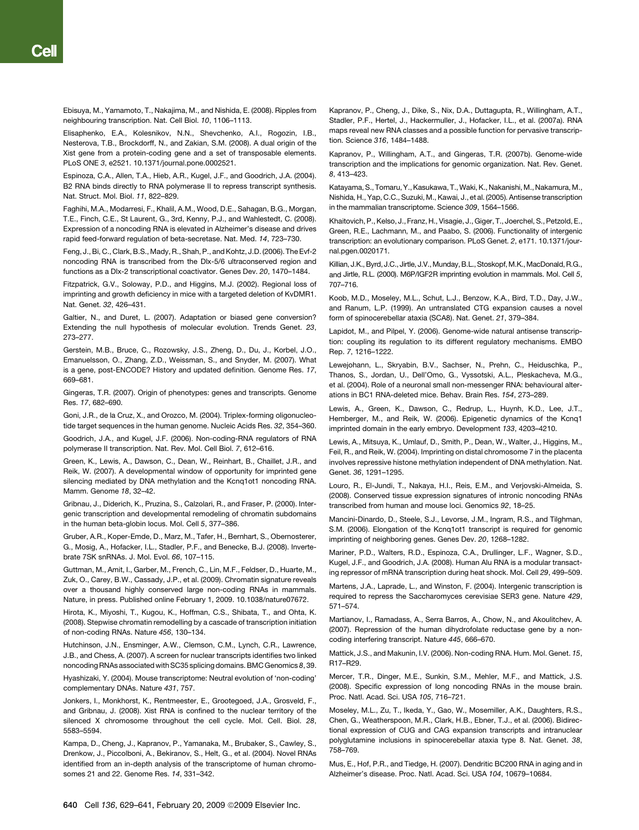<span id="page-11-0"></span>Ebisuya, M., Yamamoto, T., Nakajima, M., and Nishida, E. (2008). Ripples from neighbouring transcription. Nat. Cell Biol. *10*, 1106–1113.

Elisaphenko, E.A., Kolesnikov, N.N., Shevchenko, A.I., Rogozin, I.B., Nesterova, T.B., Brockdorff, N., and Zakian, S.M. (2008). A dual origin of the Xist gene from a protein-coding gene and a set of transposable elements. PLoS ONE *3*, e2521. 10.1371/journal.pone.0002521.

Espinoza, C.A., Allen, T.A., Hieb, A.R., Kugel, J.F., and Goodrich, J.A. (2004). B2 RNA binds directly to RNA polymerase II to repress transcript synthesis. Nat. Struct. Mol. Biol. *11*, 822–829.

Faghihi, M.A., Modarresi, F., Khalil, A.M., Wood, D.E., Sahagan, B.G., Morgan, T.E., Finch, C.E., St Laurent, G., 3rd, Kenny, P.J., and Wahlestedt, C. (2008). Expression of a noncoding RNA is elevated in Alzheimer's disease and drives rapid feed-forward regulation of beta-secretase. Nat. Med. *14*, 723–730.

Feng, J., Bi, C., Clark, B.S., Mady, R., Shah, P., and Kohtz, J.D. (2006). The Evf-2 noncoding RNA is transcribed from the Dlx-5/6 ultraconserved region and functions as a Dlx-2 transcriptional coactivator. Genes Dev. *20*, 1470–1484.

Fitzpatrick, G.V., Soloway, P.D., and Higgins, M.J. (2002). Regional loss of imprinting and growth deficiency in mice with a targeted deletion of KvDMR1. Nat. Genet. *32*, 426–431.

Galtier, N., and Duret, L. (2007). Adaptation or biased gene conversion? Extending the null hypothesis of molecular evolution. Trends Genet. *23*, 273–277.

Gerstein, M.B., Bruce, C., Rozowsky, J.S., Zheng, D., Du, J., Korbel, J.O., Emanuelsson, O., Zhang, Z.D., Weissman, S., and Snyder, M. (2007). What is a gene, post-ENCODE? History and updated definition. Genome Res. *17*, 669–681.

Gingeras, T.R. (2007). Origin of phenotypes: genes and transcripts. Genome Res. *17*, 682–690.

Goni, J.R., de la Cruz, X., and Orozco, M. (2004). Triplex-forming oligonucleotide target sequences in the human genome. Nucleic Acids Res. *32*, 354–360.

Goodrich, J.A., and Kugel, J.F. (2006). Non-coding-RNA regulators of RNA polymerase II transcription. Nat. Rev. Mol. Cell Biol. *7*, 612–616.

Green, K., Lewis, A., Dawson, C., Dean, W., Reinhart, B., Chaillet, J.R., and Reik, W. (2007). A developmental window of opportunity for imprinted gene silencing mediated by DNA methylation and the Kcnq1ot1 noncoding RNA. Mamm. Genome *18*, 32–42.

Gribnau, J., Diderich, K., Pruzina, S., Calzolari, R., and Fraser, P. (2000). Intergenic transcription and developmental remodeling of chromatin subdomains in the human beta-globin locus. Mol. Cell *5*, 377–386.

Gruber, A.R., Koper-Emde, D., Marz, M., Tafer, H., Bernhart, S., Obernosterer, G., Mosig, A., Hofacker, I.L., Stadler, P.F., and Benecke, B.J. (2008). Invertebrate 7SK snRNAs. J. Mol. Evol. *66*, 107–115.

Guttman, M., Amit, I., Garber, M., French, C., Lin, M.F., Feldser, D., Huarte, M., Zuk, O., Carey, B.W., Cassady, J.P., et al. (2009). Chromatin signature reveals over a thousand highly conserved large non-coding RNAs in mammals. Nature, in press. Published online February 1, 2009. 10.1038/nature07672.

Hirota, K., Miyoshi, T., Kugou, K., Hoffman, C.S., Shibata, T., and Ohta, K. (2008). Stepwise chromatin remodelling by a cascade of transcription initiation of non-coding RNAs. Nature *456*, 130–134.

Hutchinson, J.N., Ensminger, A.W., Clemson, C.M., Lynch, C.R., Lawrence, J.B., and Chess, A. (2007). A screen for nuclear transcripts identifies two linked noncoding RNAs associated with SC35 splicing domains.BMC Genomics *8*, 39.

Hyashizaki, Y. (2004). Mouse transcriptome: Neutral evolution of 'non-coding' complementary DNAs. Nature *431*, 757.

Jonkers, I., Monkhorst, K., Rentmeester, E., Grootegoed, J.A., Grosveld, F., and Gribnau, J. (2008). Xist RNA is confined to the nuclear territory of the silenced X chromosome throughout the cell cycle. Mol. Cell. Biol. *28*, 5583–5594.

Kampa, D., Cheng, J., Kapranov, P., Yamanaka, M., Brubaker, S., Cawley, S., Drenkow, J., Piccolboni, A., Bekiranov, S., Helt, G., et al. (2004). Novel RNAs identified from an in-depth analysis of the transcriptome of human chromosomes 21 and 22. Genome Res. *14*, 331–342.

Kapranov, P., Cheng, J., Dike, S., Nix, D.A., Duttagupta, R., Willingham, A.T., Stadler, P.F., Hertel, J., Hackermuller, J., Hofacker, I.L., et al. (2007a). RNA maps reveal new RNA classes and a possible function for pervasive transcription. Science *316*, 1484–1488.

Kapranov, P., Willingham, A.T., and Gingeras, T.R. (2007b). Genome-wide transcription and the implications for genomic organization. Nat. Rev. Genet. *8*, 413–423.

Katayama, S., Tomaru, Y., Kasukawa, T.,Waki, K., Nakanishi,M., Nakamura, M., Nishida, H., Yap, C.C., Suzuki, M., Kawai, J., et al. (2005). Antisense transcription in the mammalian transcriptome. Science *309*, 1564–1566.

Khaitovich, P., Kelso, J., Franz, H., Visagie, J., Giger, T., Joerchel, S., Petzold, E., Green, R.E., Lachmann, M., and Paabo, S. (2006). Functionality of intergenic transcription: an evolutionary comparison. PLoS Genet. *2*, e171. 10.1371/journal.pgen.0020171.

Killian, J.K., Byrd, J.C., Jirtle, J.V., Munday, B.L., Stoskopf, M.K., MacDonald, R.G., and Jirtle, R.L. (2000). M6P/IGF2R imprinting evolution in mammals. Mol. Cell *5*, 707–716.

Koob, M.D., Moseley, M.L., Schut, L.J., Benzow, K.A., Bird, T.D., Day, J.W., and Ranum, L.P. (1999). An untranslated CTG expansion causes a novel form of spinocerebellar ataxia (SCA8). Nat. Genet. *21*, 379–384.

Lapidot, M., and Pilpel, Y. (2006). Genome-wide natural antisense transcription: coupling its regulation to its different regulatory mechanisms. EMBO Rep. *7*, 1216–1222.

Lewejohann, L., Skryabin, B.V., Sachser, N., Prehn, C., Heiduschka, P., Thanos, S., Jordan, U., Dell'Omo, G., Vyssotski, A.L., Pleskacheva, M.G., et al. (2004). Role of a neuronal small non-messenger RNA: behavioural alterations in BC1 RNA-deleted mice. Behav. Brain Res. *154*, 273–289.

Lewis, A., Green, K., Dawson, C., Redrup, L., Huynh, K.D., Lee, J.T., Hemberger, M., and Reik, W. (2006). Epigenetic dynamics of the Kcnq1 imprinted domain in the early embryo. Development *133*, 4203–4210.

Lewis, A., Mitsuya, K., Umlauf, D., Smith, P., Dean, W., Walter, J., Higgins, M., Feil, R., and Reik, W. (2004). Imprinting on distal chromosome 7 in the placenta involves repressive histone methylation independent of DNA methylation. Nat. Genet. *36*, 1291–1295.

Louro, R., El-Jundi, T., Nakaya, H.I., Reis, E.M., and Verjovski-Almeida, S. (2008). Conserved tissue expression signatures of intronic noncoding RNAs transcribed from human and mouse loci. Genomics *92*, 18–25.

Mancini-Dinardo, D., Steele, S.J., Levorse, J.M., Ingram, R.S., and Tilghman, S.M. (2006). Elongation of the Kcnq1ot1 transcript is required for genomic imprinting of neighboring genes. Genes Dev. *20*, 1268–1282.

Mariner, P.D., Walters, R.D., Espinoza, C.A., Drullinger, L.F., Wagner, S.D., Kugel, J.F., and Goodrich, J.A. (2008). Human Alu RNA is a modular transacting repressor of mRNA transcription during heat shock. Mol. Cell *29*, 499–509.

Martens, J.A., Laprade, L., and Winston, F. (2004). Intergenic transcription is required to repress the Saccharomyces cerevisiae SER3 gene. Nature *429*, 571–574.

Martianov, I., Ramadass, A., Serra Barros, A., Chow, N., and Akoulitchev, A. (2007). Repression of the human dihydrofolate reductase gene by a noncoding interfering transcript. Nature *445*, 666–670.

Mattick, J.S., and Makunin, I.V. (2006). Non-coding RNA. Hum. Mol. Genet. *15*, R17–R29.

Mercer, T.R., Dinger, M.E., Sunkin, S.M., Mehler, M.F., and Mattick, J.S. (2008). Specific expression of long noncoding RNAs in the mouse brain. Proc. Natl. Acad. Sci. USA *105*, 716–721.

Moseley, M.L., Zu, T., Ikeda, Y., Gao, W., Mosemiller, A.K., Daughters, R.S., Chen, G., Weatherspoon, M.R., Clark, H.B., Ebner, T.J., et al. (2006). Bidirectional expression of CUG and CAG expansion transcripts and intranuclear polyglutamine inclusions in spinocerebellar ataxia type 8. Nat. Genet. *38*, 758–769.

Mus, E., Hof, P.R., and Tiedge, H. (2007). Dendritic BC200 RNA in aging and in Alzheimer's disease. Proc. Natl. Acad. Sci. USA *104*, 10679–10684.